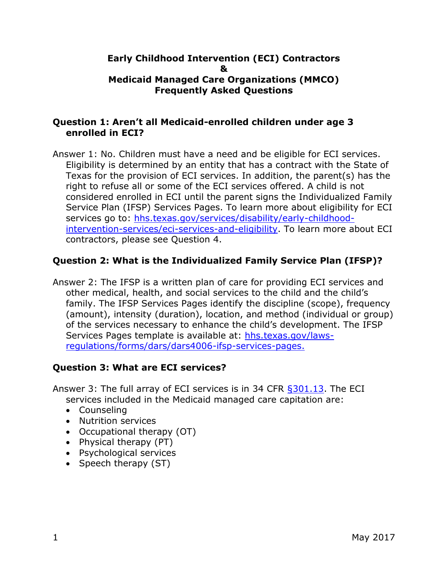#### **Early Childhood Intervention (ECI) Contractors & Medicaid Managed Care Organizations (MMCO) Frequently Asked Questions**

### **Question 1: Aren't all Medicaid-enrolled children under age 3 enrolled in ECI?**

Answer 1: No. Children must have a need and be eligible for ECI services. Eligibility is determined by an entity that has a contract with the State of Texas for the provision of ECI services. In addition, the parent(s) has the right to refuse all or some of the ECI services offered. A child is not considered enrolled in ECI until the parent signs the Individualized Family Service Plan (IFSP) Services Pages. To learn more about eligibility for ECI services go to: [hhs.texas.gov/services/disability/early-childhood](https://hhs.texas.gov/services/disability/early-childhood-intervention-services/eci-services-and-eligibility)[intervention-services/eci-services-and-eligibility.](https://hhs.texas.gov/services/disability/early-childhood-intervention-services/eci-services-and-eligibility) To learn more about ECI contractors, please see Question 4.

# **Question 2: What is the Individualized Family Service Plan (IFSP)?**

Answer 2: The IFSP is a written plan of care for providing ECI services and other medical, health, and social services to the child and the child's family. The IFSP Services Pages identify the discipline (scope), frequency (amount), intensity (duration), location, and method (individual or group) of the services necessary to enhance the child's development. The IFSP Services Pages template is available at: [hhs.texas.gov/laws](https://hhs.texas.gov/laws-regulations/forms/dars/dars4006-ifsp-services-pages)[regulations/forms/dars/dars4006-ifsp-services-pages.](https://hhs.texas.gov/laws-regulations/forms/dars/dars4006-ifsp-services-pages)

# **Question 3: What are ECI services?**

Answer 3: The full array of ECI services is in 34 CFR [§301.13.](http://www.ecfr.gov/cgi-bin/text-idx?SID=f3852d08202166665fca7e9030f6d9a6&mc=true&node=se34.2.303_113&rgn=div8) The ECI services included in the Medicaid managed care capitation are:

- Counseling
- Nutrition services
- Occupational therapy (OT)
- Physical therapy (PT)
- Psychological services
- Speech therapy  $(ST)$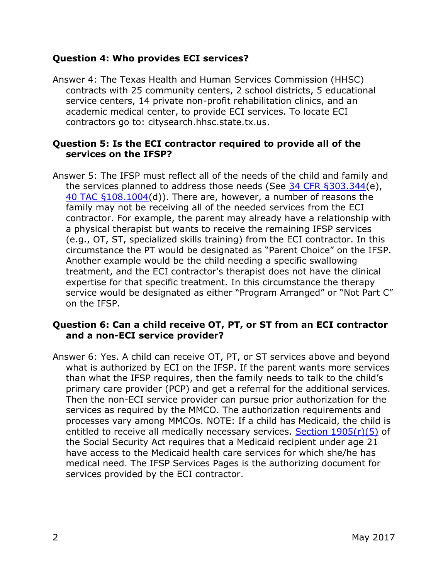### **Question 4: Who provides ECI services?**

Answer 4: The Texas Health and Human Services Commission (HHSC) contracts with 25 community centers, 2 school districts, 5 educational service centers, 14 private non-profit rehabilitation clinics, and an academic medical center, to provide ECI services. To locate ECI contractors go to: citysearch.hhsc.state.tx.us.

### **Question 5: Is the ECI contractor required to provide all of the services on the IFSP?**

Answer 5: The IFSP must reflect all of the needs of the child and family and the services planned to address those needs (See [34 CFR §303.344\(](http://www.ecfr.gov/cgi-bin/text-idx?SID=ec0372b8e521d4ee193b1c93e98057f6&node=se34.2.303_1344&rgn=div8)e), [40 TAC §108.1004\(](http://texreg.sos.state.tx.us/public/readtac$ext.TacPage?sl=R&app=9&p_dir=&p_rloc=&p_tloc=&p_ploc=&pg=1&p_tac=&ti=40&pt=2&ch=108&rl=1004)d)). There are, however, a number of reasons the family may not be receiving all of the needed services from the ECI contractor. For example, the parent may already have a relationship with a physical therapist but wants to receive the remaining IFSP services (e.g., OT, ST, specialized skills training) from the ECI contractor. In this circumstance the PT would be designated as "Parent Choice" on the IFSP. Another example would be the child needing a specific swallowing treatment, and the ECI contractor's therapist does not have the clinical expertise for that specific treatment. In this circumstance the therapy service would be designated as either "Program Arranged" or "Not Part C" on the IFSP.

## **Question 6: Can a child receive OT, PT, or ST from an ECI contractor and a non-ECI service provider?**

Answer 6: Yes. A child can receive OT, PT, or ST services above and beyond what is authorized by ECI on the IFSP. If the parent wants more services than what the IFSP requires, then the family needs to talk to the child's primary care provider (PCP) and get a referral for the additional services. Then the non-ECI service provider can pursue prior authorization for the services as required by the MMCO. The authorization requirements and processes vary among MMCOs. NOTE: If a child has Medicaid, the child is entitled to receive all medically necessary services. [Section 1905\(r\)\(5\)](https://www.ssa.gov/OP_Home/ssact/title19/1905.htm) of the Social Security Act requires that a Medicaid recipient under age 21 have access to the Medicaid health care services for which she/he has medical need. The IFSP Services Pages is the authorizing document for services provided by the ECI contractor.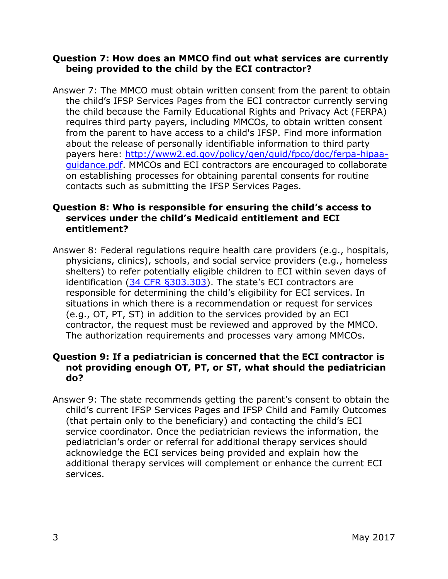### **Question 7: How does an MMCO find out what services are currently being provided to the child by the ECI contractor?**

Answer 7: The MMCO must obtain written consent from the parent to obtain the child's IFSP Services Pages from the ECI contractor currently serving the child because the Family Educational Rights and Privacy Act (FERPA) requires third party payers, including MMCOs, to obtain written consent from the parent to have access to a child's IFSP. Find more information about the release of personally identifiable information to third party payers here: [http://www2.ed.gov/policy/gen/guid/fpco/doc/ferpa-hipaa](http://www2.ed.gov/policy/gen/guid/fpco/doc/ferpa-hipaa-guidance.pdf)[guidance.pdf.](http://www2.ed.gov/policy/gen/guid/fpco/doc/ferpa-hipaa-guidance.pdf) MMCOs and ECI contractors are encouraged to collaborate on establishing processes for obtaining parental consents for routine contacts such as submitting the IFSP Services Pages.

## **Question 8: Who is responsible for ensuring the child's access to services under the child's Medicaid entitlement and ECI entitlement?**

Answer 8: Federal regulations require health care providers (e.g., hospitals, physicians, clinics), schools, and social service providers (e.g., homeless shelters) to refer potentially eligible children to ECI within seven days of identification [\(34 CFR §303.303\)](http://www.ecfr.gov/cgi-bin/retrieveECFR?gp=&SID=66a3615531a65f3da379933ee797ceb0&mc=true&n=sp34.2.303.d&r=SUBPART&ty=HTML#se34.2.303_1303). The state's ECI contractors are responsible for determining the child's eligibility for ECI services. In situations in which there is a recommendation or request for services (e.g., OT, PT, ST) in addition to the services provided by an ECI contractor, the request must be reviewed and approved by the MMCO. The authorization requirements and processes vary among MMCOs.

#### **Question 9: If a pediatrician is concerned that the ECI contractor is not providing enough OT, PT, or ST, what should the pediatrician do?**

Answer 9: The state recommends getting the parent's consent to obtain the child's current IFSP Services Pages and IFSP Child and Family Outcomes (that pertain only to the beneficiary) and contacting the child's ECI service coordinator. Once the pediatrician reviews the information, the pediatrician's order or referral for additional therapy services should acknowledge the ECI services being provided and explain how the additional therapy services will complement or enhance the current ECI services.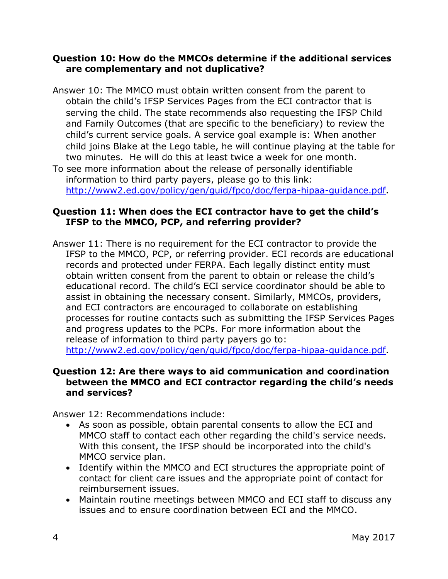### **Question 10: How do the MMCOs determine if the additional services are complementary and not duplicative?**

Answer 10: The MMCO must obtain written consent from the parent to obtain the child's IFSP Services Pages from the ECI contractor that is serving the child. The state recommends also requesting the IFSP Child and Family Outcomes (that are specific to the beneficiary) to review the child's current service goals. A service goal example is: When another child joins Blake at the Lego table, he will continue playing at the table for two minutes. He will do this at least twice a week for one month.

To see more information about the release of personally identifiable information to third party payers, please go to this link: [http://www2.ed.gov/policy/gen/guid/fpco/doc/ferpa-hipaa-guidance.pdf.](http://www2.ed.gov/policy/gen/guid/fpco/doc/ferpa-hipaa-guidance.pdf)

### **Question 11: When does the ECI contractor have to get the child's IFSP to the MMCO, PCP, and referring provider?**

Answer 11: There is no requirement for the ECI contractor to provide the IFSP to the MMCO, PCP, or referring provider. ECI records are educational records and protected under FERPA. Each legally distinct entity must obtain written consent from the parent to obtain or release the child's educational record. The child's ECI service coordinator should be able to assist in obtaining the necessary consent. Similarly, MMCOs, providers, and ECI contractors are encouraged to collaborate on establishing processes for routine contacts such as submitting the IFSP Services Pages and progress updates to the PCPs. For more information about the release of information to third party payers go to: [http://www2.ed.gov/policy/gen/guid/fpco/doc/ferpa-hipaa-guidance.pdf.](http://www2.ed.gov/policy/gen/guid/fpco/doc/ferpa-hipaa-guidance.pdf)

#### **Question 12: Are there ways to aid communication and coordination between the MMCO and ECI contractor regarding the child's needs and services?**

Answer 12: Recommendations include:

- As soon as possible, obtain parental consents to allow the ECI and MMCO staff to contact each other regarding the child's service needs. With this consent, the IFSP should be incorporated into the child's MMCO service plan.
- Identify within the MMCO and ECI structures the appropriate point of contact for client care issues and the appropriate point of contact for reimbursement issues.
- Maintain routine meetings between MMCO and ECI staff to discuss any issues and to ensure coordination between ECI and the MMCO.